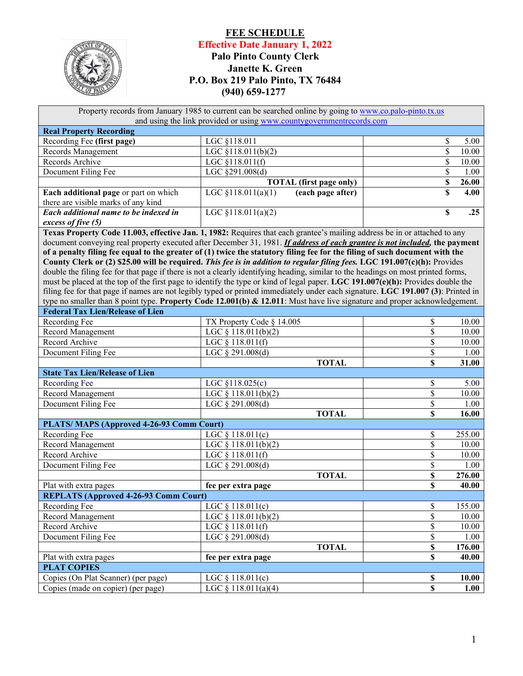

## **FEE SCHEDULE Effective Date January 1, 2022 Palo Pinto County Clerk Janette K. Green P.O. Box 219 Palo Pinto, TX 76484 (940) 659-1277**

| Property records from January 1985 to current can be searched online by going to www.co.palo-pinto.tx.us<br>and using the link provided or using www.countygovernmentrecords.com |                                                                                                                                   |                       |  |  |  |  |  |
|----------------------------------------------------------------------------------------------------------------------------------------------------------------------------------|-----------------------------------------------------------------------------------------------------------------------------------|-----------------------|--|--|--|--|--|
| <b>Real Property Recording</b>                                                                                                                                                   |                                                                                                                                   |                       |  |  |  |  |  |
| Recording Fee (first page)                                                                                                                                                       | LGC §118.011                                                                                                                      | \$<br>5.00            |  |  |  |  |  |
| Records Management                                                                                                                                                               | LGC §118.011(b)(2)                                                                                                                | \$<br>10.00           |  |  |  |  |  |
| Records Archive                                                                                                                                                                  | LGC §118.011(f)                                                                                                                   | \$<br>10.00           |  |  |  |  |  |
| Document Filing Fee                                                                                                                                                              | LGC §291.008(d)                                                                                                                   | \$<br>1.00            |  |  |  |  |  |
|                                                                                                                                                                                  | <b>TOTAL</b> (first page only)                                                                                                    | \$<br>26.00           |  |  |  |  |  |
| Each additional page or part on which                                                                                                                                            | LGC $$118.011(a)(1)$<br>(each page after)                                                                                         | \$<br>4.00            |  |  |  |  |  |
| there are visible marks of any kind                                                                                                                                              |                                                                                                                                   |                       |  |  |  |  |  |
| Each additional name to be indexed in                                                                                                                                            | LGC §118.011(a)(2)                                                                                                                | \$<br>.25             |  |  |  |  |  |
| excess of five (5)                                                                                                                                                               |                                                                                                                                   |                       |  |  |  |  |  |
|                                                                                                                                                                                  | Texas Property Code 11.003, effective Jan. 1, 1982: Requires that each grantee's mailing address be in or attached to any         |                       |  |  |  |  |  |
|                                                                                                                                                                                  | document conveying real property executed after December 31, 1981. If address of each grantee is not included, the payment        |                       |  |  |  |  |  |
|                                                                                                                                                                                  | of a penalty filing fee equal to the greater of (1) twice the statutory filing fee for the filing of such document with the       |                       |  |  |  |  |  |
|                                                                                                                                                                                  | County Clerk or (2) \$25.00 will be required. This fee is in addition to regular filing fees. LGC 191.007(c)(h): Provides         |                       |  |  |  |  |  |
|                                                                                                                                                                                  | double the filing fee for that page if there is not a clearly identifying heading, similar to the headings on most printed forms, |                       |  |  |  |  |  |
|                                                                                                                                                                                  | must be placed at the top of the first page to identify the type or kind of legal paper. LGC 191.007(e)(h): Provides double the   |                       |  |  |  |  |  |
|                                                                                                                                                                                  | filing fee for that page if names are not legibly typed or printed immediately under each signature. LGC 191.007 (3): Printed in  |                       |  |  |  |  |  |
|                                                                                                                                                                                  | type no smaller than 8 point type. Property Code 12.001(b) & 12.011: Must have live signature and proper acknowledgement.         |                       |  |  |  |  |  |
| <b>Federal Tax Lien/Release of Lien</b>                                                                                                                                          |                                                                                                                                   |                       |  |  |  |  |  |
| Recording Fee                                                                                                                                                                    | TX Property Code § 14.005                                                                                                         | \$<br>10.00           |  |  |  |  |  |
| Record Management                                                                                                                                                                | LGC $§ 118.011(b)(2)$                                                                                                             | \$<br>10.00           |  |  |  |  |  |
| Record Archive                                                                                                                                                                   | LGC § 118.011(f)                                                                                                                  | \$<br>10.00           |  |  |  |  |  |
| Document Filing Fee                                                                                                                                                              | LGC § 291.008(d)                                                                                                                  | $\$$<br>1.00          |  |  |  |  |  |
|                                                                                                                                                                                  | <b>TOTAL</b>                                                                                                                      | \$<br>31.00           |  |  |  |  |  |
| <b>State Tax Lien/Release of Lien</b>                                                                                                                                            |                                                                                                                                   |                       |  |  |  |  |  |
| Recording Fee                                                                                                                                                                    | LGC §118.025(c)                                                                                                                   | \$<br>5.00            |  |  |  |  |  |
| Record Management                                                                                                                                                                | LGC $§ 118.011(b)(2)$                                                                                                             | $\$$<br>10.00         |  |  |  |  |  |
| Document Filing Fee                                                                                                                                                              | LGC § 291.008(d)                                                                                                                  | $\mathbb{S}$<br>1.00  |  |  |  |  |  |
|                                                                                                                                                                                  | <b>TOTAL</b>                                                                                                                      | \$<br>16.00           |  |  |  |  |  |
| PLATS/MAPS (Approved 4-26-93 Comm Court)                                                                                                                                         |                                                                                                                                   |                       |  |  |  |  |  |
| Recording Fee                                                                                                                                                                    | LGC § 118.011(c)                                                                                                                  | \$<br>255.00          |  |  |  |  |  |
| Record Management                                                                                                                                                                | LGC $§ 118.011(b)(2)$                                                                                                             | $\$$<br>10.00         |  |  |  |  |  |
| Record Archive                                                                                                                                                                   | LGC § 118.011(f)                                                                                                                  | $\$$<br>10.00         |  |  |  |  |  |
| Document Filing Fee                                                                                                                                                              | LGC § 291.008(d)                                                                                                                  | \$<br>1.00            |  |  |  |  |  |
|                                                                                                                                                                                  | <b>TOTAL</b>                                                                                                                      | $\mathbb S$<br>276.00 |  |  |  |  |  |
| Plat with extra pages                                                                                                                                                            | fee per extra page                                                                                                                | \$<br>40.00           |  |  |  |  |  |
| <b>REPLATS (Approved 4-26-93 Comm Court)</b>                                                                                                                                     |                                                                                                                                   |                       |  |  |  |  |  |
| Recording Fee                                                                                                                                                                    | LGC $§ 118.011(c)$                                                                                                                | \$<br>155.00          |  |  |  |  |  |
| Record Management                                                                                                                                                                | LGC $§ 118.011(b)(2)$                                                                                                             | $\mathbb{S}$<br>10.00 |  |  |  |  |  |
| Record Archive                                                                                                                                                                   | LGC § 118.011(f)                                                                                                                  | $\mathbb{S}$<br>10.00 |  |  |  |  |  |
| Document Filing Fee                                                                                                                                                              | LGC § 291.008(d)                                                                                                                  | $\mathbb S$<br>1.00   |  |  |  |  |  |
|                                                                                                                                                                                  | <b>TOTAL</b>                                                                                                                      | $\mathbb S$<br>176.00 |  |  |  |  |  |
| Plat with extra pages                                                                                                                                                            | fee per extra page                                                                                                                | $\mathbb S$<br>40.00  |  |  |  |  |  |
| <b>PLAT COPIES</b>                                                                                                                                                               |                                                                                                                                   |                       |  |  |  |  |  |
| Copies (On Plat Scanner) (per page)                                                                                                                                              | LGC $§ 118.011(c)$                                                                                                                | $\mathbb S$<br>10.00  |  |  |  |  |  |
| Copies (made on copier) (per page)                                                                                                                                               | LGC § 118.011(a)(4)                                                                                                               | $\mathbf S$<br>1.00   |  |  |  |  |  |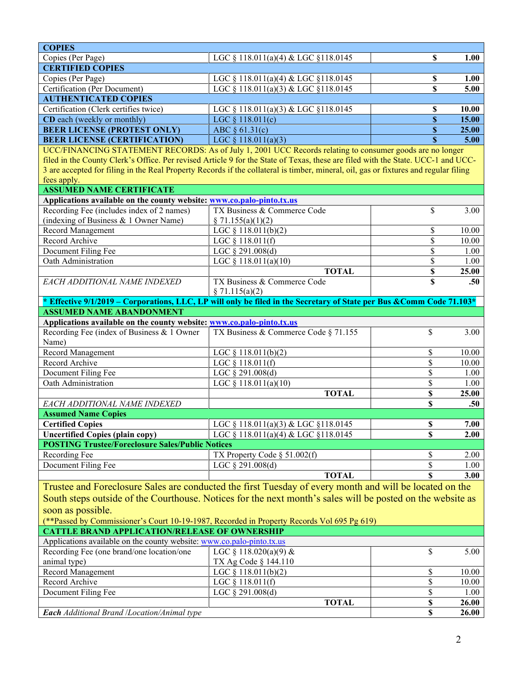| <b>COPIES</b>                                                                                                                        |                                      |             |       |  |  |
|--------------------------------------------------------------------------------------------------------------------------------------|--------------------------------------|-------------|-------|--|--|
| Copies (Per Page)                                                                                                                    | LGC § 118.011(a)(4) & LGC §118.0145  | \$          | 1.00  |  |  |
| <b>CERTIFIED COPIES</b>                                                                                                              |                                      |             |       |  |  |
| Copies (Per Page)                                                                                                                    | LGC § 118.011(a)(4) & LGC §118.0145  | \$          | 1.00  |  |  |
| Certification (Per Document)                                                                                                         | LGC § 118.011(a)(3) & LGC §118.0145  | \$          | 5.00  |  |  |
| <b>AUTHENTICATED COPIES</b>                                                                                                          |                                      |             |       |  |  |
| Certification (Clerk certifies twice)                                                                                                | LGC § 118.011(a)(3) & LGC §118.0145  | \$          | 10.00 |  |  |
| CD each (weekly or monthly)                                                                                                          | LGC $§ 118.011(c)$                   | $\mathbb S$ | 15.00 |  |  |
| <b>BEER LICENSE (PROTEST ONLY)</b>                                                                                                   | ABC $§ 61.31(c)$                     | $\mathbb S$ | 25.00 |  |  |
| <b>BEER LICENSE (CERTIFICATION)</b>                                                                                                  | LGC $\S$ 118.011(a)(3)               | $\mathbf S$ | 5.00  |  |  |
| UCC/FINANCING STATEMENT RECORDS: As of July 1, 2001 UCC Records relating to consumer goods are no longer                             |                                      |             |       |  |  |
| filed in the County Clerk's Office. Per revised Article 9 for the State of Texas, these are filed with the State. UCC-1 and UCC-     |                                      |             |       |  |  |
| 3 are accepted for filing in the Real Property Records if the collateral is timber, mineral, oil, gas or fixtures and regular filing |                                      |             |       |  |  |
| fees apply.                                                                                                                          |                                      |             |       |  |  |
| <b>ASSUMED NAME CERTIFICATE</b>                                                                                                      |                                      |             |       |  |  |
| Applications available on the county website: www.co.palo-pinto.tx.us                                                                |                                      |             |       |  |  |
| Recording Fee (includes index of 2 names)                                                                                            | TX Business & Commerce Code          | \$          | 3.00  |  |  |
| (indexing of Business & 1 Owner Name)                                                                                                | \$71.155(a)(1)(2)                    |             |       |  |  |
| <b>Record Management</b>                                                                                                             | LGC $§$ 118.011(b)(2)                | \$          | 10.00 |  |  |
| Record Archive                                                                                                                       | LGC $§$ 118.011(f)                   | \$          | 10.00 |  |  |
| Document Filing Fee                                                                                                                  | LGC § 291.008(d)                     | \$          | 1.00  |  |  |
| Oath Administration                                                                                                                  | LGC § 118.011(a)(10)                 | \$          | 1.00  |  |  |
|                                                                                                                                      | <b>TOTAL</b>                         | $\mathbb S$ | 25.00 |  |  |
| EACH ADDITIONAL NAME INDEXED                                                                                                         | TX Business & Commerce Code          | \$          | .50   |  |  |
|                                                                                                                                      | \$71.115(a)(2)                       |             |       |  |  |
| * Effective 9/1/2019 – Corporations, LLC, LP will only be filed in the Secretary of State per Bus & Comm Code 71.103*                |                                      |             |       |  |  |
| <b>ASSUMED NAME ABANDONMENT</b>                                                                                                      |                                      |             |       |  |  |
| Applications available on the county website: www.co.palo-pinto.tx.us                                                                |                                      |             |       |  |  |
| Recording Fee (index of Business & 1 Owner                                                                                           | TX Business & Commerce Code § 71.155 | \$          | 3.00  |  |  |
| Name)                                                                                                                                |                                      |             |       |  |  |
| Record Management                                                                                                                    | LGC $§ 118.011(b)(2)$                | \$          | 10.00 |  |  |
| Record Archive                                                                                                                       | LGC $§ 118.011(f)$                   | \$          | 10.00 |  |  |
| Document Filing Fee                                                                                                                  | LGC $\S$ 291.008(d)                  | \$          | 1.00  |  |  |
| Oath Administration                                                                                                                  | LGC § 118.011(a)(10)                 | \$          | 1.00  |  |  |
|                                                                                                                                      | <b>TOTAL</b>                         | \$          | 25.00 |  |  |
| EACH ADDITIONAL NAME INDEXED                                                                                                         |                                      | \$          | .50   |  |  |
| <b>Assumed Name Copies</b>                                                                                                           |                                      |             |       |  |  |
| <b>Certified Copies</b>                                                                                                              | LGC § 118.011(a)(3) & LGC §118.0145  | \$          | 7.00  |  |  |
| <b>Uncertified Copies (plain copy)</b>                                                                                               | LGC § 118.011(a)(4) & LGC §118.0145  | \$          | 2.00  |  |  |
| <b>POSTING Trustee/Foreclosure Sales/Public Notices</b>                                                                              |                                      |             |       |  |  |
| Recording Fee                                                                                                                        | TX Property Code § 51.002(f)         | \$          | 2.00  |  |  |
| Document Filing Fee                                                                                                                  | LGC § 291.008(d)                     | \$          | 1.00  |  |  |
|                                                                                                                                      | <b>TOTAL</b>                         | S           | 3.00  |  |  |
| Trustee and Foreclosure Sales are conducted the first Tuesday of every month and will be located on the                              |                                      |             |       |  |  |
|                                                                                                                                      |                                      |             |       |  |  |
| South steps outside of the Courthouse. Notices for the next month's sales will be posted on the website as                           |                                      |             |       |  |  |
| soon as possible.                                                                                                                    |                                      |             |       |  |  |
| (**Passed by Commissioner's Court 10-19-1987, Recorded in Property Records Vol 695 Pg 619)                                           |                                      |             |       |  |  |
| <b>CATTLE BRAND APPLICATION/RELEASE OF OWNERSHIP</b>                                                                                 |                                      |             |       |  |  |
| Applications available on the county website: www.co.palo-pinto.tx.us                                                                |                                      |             |       |  |  |
| Recording Fee (one brand/one location/one                                                                                            | LGC § 118.020(a)(9) &                | \$          | 5.00  |  |  |
| animal type)                                                                                                                         | TX Ag Code § 144.110                 |             |       |  |  |
| Record Management                                                                                                                    | LGC § 118.011(b)(2)                  | \$          | 10.00 |  |  |
| Record Archive                                                                                                                       | LGC § 118.011(f)                     | \$          | 10.00 |  |  |
| Document Filing Fee                                                                                                                  | LGC § 291.008(d)                     | \$          | 1.00  |  |  |
|                                                                                                                                      | <b>TOTAL</b>                         | \$          | 26.00 |  |  |
| Each Additional Brand /Location/Animal type                                                                                          |                                      | \$          | 26.00 |  |  |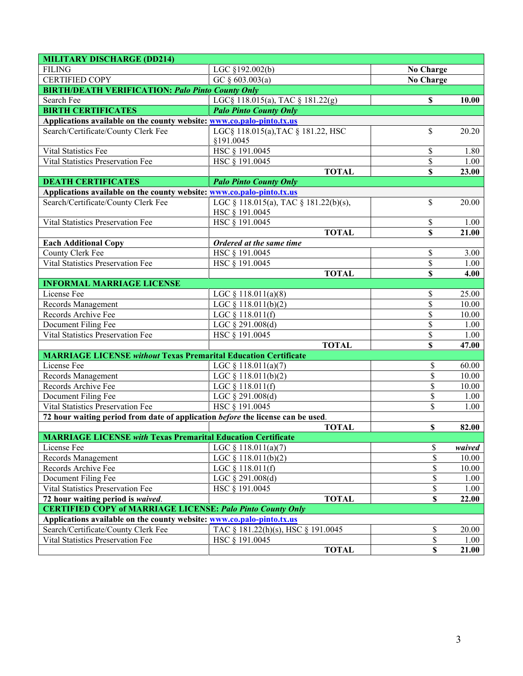| <b>MILITARY DISCHARGE (DD214)</b>                                               |                                       |                           |        |  |  |  |
|---------------------------------------------------------------------------------|---------------------------------------|---------------------------|--------|--|--|--|
| <b>FILING</b>                                                                   | LGC §192.002(b)                       | <b>No Charge</b>          |        |  |  |  |
| <b>CERTIFIED COPY</b>                                                           | GC $§$ 603.003(a)                     | <b>No Charge</b>          |        |  |  |  |
| <b>BIRTH/DEATH VERIFICATION: Palo Pinto County Only</b>                         |                                       |                           |        |  |  |  |
| Search Fee                                                                      | LGC§ 118.015(a), TAC § 181.22(g)      | S                         | 10.00  |  |  |  |
| <b>BIRTH CERTIFICATES</b>                                                       | <b>Palo Pinto County Only</b>         |                           |        |  |  |  |
| Applications available on the county website: www.co.palo-pinto.tx.us           |                                       |                           |        |  |  |  |
| Search/Certificate/County Clerk Fee                                             | LGC§ 118.015(a), TAC § 181.22, HSC    | \$                        | 20.20  |  |  |  |
|                                                                                 | §191.0045                             |                           |        |  |  |  |
| Vital Statistics Fee                                                            | HSC § 191.0045                        | \$                        | 1.80   |  |  |  |
| Vital Statistics Preservation Fee                                               | HSC § 191.0045                        | \$                        | 1.00   |  |  |  |
|                                                                                 | <b>TOTAL</b>                          | \$                        | 23.00  |  |  |  |
| <b>DEATH CERTIFICATES</b>                                                       | <b>Palo Pinto County Only</b>         |                           |        |  |  |  |
| Applications available on the county website: www.co.palo-pinto.tx.us           |                                       |                           |        |  |  |  |
| Search/Certificate/County Clerk Fee                                             | LGC § 118.015(a), TAC § 181.22(b)(s), | \$                        | 20.00  |  |  |  |
|                                                                                 | HSC § 191.0045                        |                           |        |  |  |  |
| Vital Statistics Preservation Fee                                               | HSC § 191.0045                        | \$                        | 1.00   |  |  |  |
|                                                                                 | <b>TOTAL</b>                          | $\mathbf S$               | 21.00  |  |  |  |
| <b>Each Additional Copy</b>                                                     | Ordered at the same time              |                           |        |  |  |  |
| County Clerk Fee                                                                | HSC § 191.0045                        | \$                        | 3.00   |  |  |  |
| <b>Vital Statistics Preservation Fee</b>                                        | HSC § 191.0045                        | \$                        | 1.00   |  |  |  |
|                                                                                 | <b>TOTAL</b>                          | \$                        | 4.00   |  |  |  |
| <b>INFORMAL MARRIAGE LICENSE</b>                                                |                                       |                           |        |  |  |  |
| License Fee                                                                     | LGC $§ 118.011(a)(8)$                 | \$                        | 25.00  |  |  |  |
| Records Management                                                              | LGC § 118.011(b)(2)                   | \$                        | 10.00  |  |  |  |
| Records Archive Fee                                                             | LGC § 118.011(f)                      | \$                        | 10.00  |  |  |  |
| Document Filing Fee                                                             | $\overline{LGC} \$ 291.008(d)         | \$                        | 1.00   |  |  |  |
| Vital Statistics Preservation Fee                                               | HSC § 191.0045                        | \$                        | 1.00   |  |  |  |
|                                                                                 | <b>TOTAL</b>                          | \$                        | 47.00  |  |  |  |
| <b>MARRIAGE LICENSE without Texas Premarital Education Certificate</b>          |                                       |                           |        |  |  |  |
| License Fee                                                                     | LGC $§ 118.011(a)(7)$                 | \$                        | 60.00  |  |  |  |
| Records Management                                                              | LGC § 118.011(b)(2)                   | \$                        | 10.00  |  |  |  |
| Records Archive Fee                                                             | LGC § 118.011(f)                      | \$                        | 10.00  |  |  |  |
| Document Filing Fee                                                             | LGC § 291.008(d)                      | \$                        | 1.00   |  |  |  |
| Vital Statistics Preservation Fee                                               | HSC § 191.0045                        | \$                        | 1.00   |  |  |  |
| 72 hour waiting period from date of application before the license can be used. |                                       |                           |        |  |  |  |
|                                                                                 | <b>TOTAL</b>                          | \$                        | 82.00  |  |  |  |
| <b>MARRIAGE LICENSE with Texas Premarital Education Certificate</b>             |                                       |                           |        |  |  |  |
| License Fee                                                                     | LGC $§ 118.011(a)(7)$                 | \$                        | waived |  |  |  |
| Records Management                                                              | $\overline{LGC \S 118.011(b)(2)}$     | $\overline{\mathcal{S}}$  | 10.00  |  |  |  |
| Records Archive Fee                                                             | LGC § 118.011(f)                      | \$                        | 10.00  |  |  |  |
| Document Filing Fee                                                             | LGC § 291.008(d)                      | \$                        | 1.00   |  |  |  |
| Vital Statistics Preservation Fee                                               | HSC § 191.0045                        | \$                        | 1.00   |  |  |  |
| 72 hour waiting period is waived.                                               | <b>TOTAL</b>                          | $\boldsymbol{\mathsf{S}}$ | 22.00  |  |  |  |
| <b>CERTIFIED COPY of MARRIAGE LICENSE: Palo Pinto County Only</b>               |                                       |                           |        |  |  |  |
| Applications available on the county website: www.co.palo-pinto.tx.us           |                                       |                           |        |  |  |  |
| Search/Certificate/County Clerk Fee                                             | TAC § 181.22(h)(s), HSC § 191.0045    | \$                        | 20.00  |  |  |  |
| Vital Statistics Preservation Fee                                               | HSC § 191.0045                        | \$                        | 1.00   |  |  |  |
|                                                                                 | <b>TOTAL</b>                          | $\overline{\mathbb{S}}$   | 21.00  |  |  |  |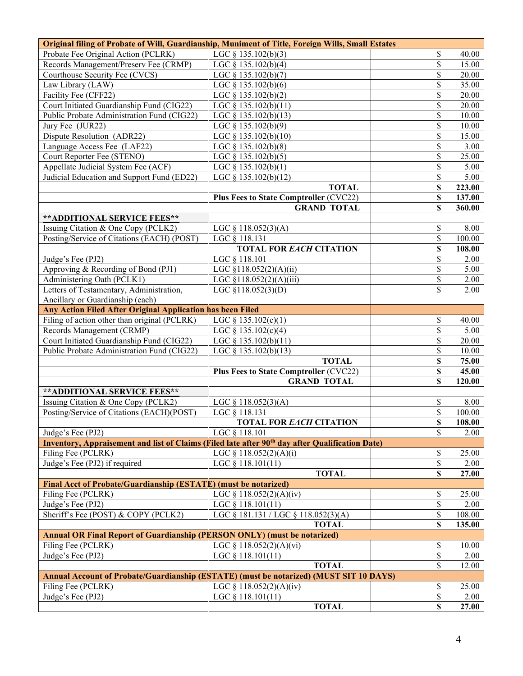| Probate Fee Original Action (PCLRK)<br>LGC $\S$ 135.102(b)(3)<br>\$<br>40.00<br>\$<br>Records Management/Preserv Fee (CRMP)<br>LGC $\S$ 135.102(b)(4)<br>15.00<br>Courthouse Security Fee (CVCS)<br>\$<br>20.00<br>LGC $\S$ 135.102(b)(7)<br>Law Library (LAW)<br>\$<br>LGC $§$ 135.102(b)(6)<br>35.00<br>Facility Fee (CFF22)<br>\$<br>LGC $\S$ 135.102(b)(2)<br>20.00<br>Court Initiated Guardianship Fund (CIG22)<br>\$<br>20.00<br>LGC $\S$ 135.102(b)(11)<br>Public Probate Administration Fund (CIG22)<br>\$<br>10.00<br>LGC $\S$ 135.102(b)(13)<br>Jury Fee (JUR22)<br>\$<br>10.00<br>LGC $\S$ 135.102(b)(9)<br>Dispute Resolution (ADR22)<br>\$<br>15.00<br>LGC $§$ 135.102(b)(10)<br>Language Access Fee (LAF22)<br>\$<br>3.00<br>LGC $\S$ 135.102(b)(8)<br>Court Reporter Fee (STENO)<br>\$<br>25.00<br>LGC $\S$ 135.102(b)(5)<br>Appellate Judicial System Fee (ACF)<br>\$<br>5.00<br>LGC $\S$ 135.102(b)(1)<br>Judicial Education and Support Fund (ED22)<br>LGC § 135.102(b)(12)<br>\$<br>5.00<br><b>TOTAL</b><br>\$<br>223.00<br><b>Plus Fees to State Comptroller (CVC22)</b><br>137.00<br>\$<br>\$<br>360.00<br><b>GRAND TOTAL</b><br><b>**ADDITIONAL SERVICE FEES**</b><br>Issuing Citation & One Copy (PCLK2)<br>8.00<br>LGC $\S$ 118.052(3)(A)<br>\$<br>Posting/Service of Citations (EACH) (POST)<br>\$<br>LGC § 118.131<br>100.00<br><b>TOTAL FOR EACH CITATION</b><br>\$<br>108.00<br>\$<br>Judge's Fee (PJ2)<br>LGC § 118.101<br>2.00<br>Approving & Recording of Bond (PJ1)<br>LGC §118.052(2)(A)(ii)<br>\$<br>5.00<br>Administering Oath (PCLK1)<br>\$<br>LGC §118.052(2)(A)(iii)<br>2.00<br>Letters of Testamentary, Administration,<br>\$<br>LGC $$118.052(3)(D)$<br>2.00<br>Ancillary or Guardianship (each)<br>Any Action Filed After Original Application has been Filed<br>Filing of action other than original (PCLRK)<br>\$<br>LGC § 135.102(c)(1)<br>40.00<br>Records Management (CRMP)<br>\$<br>5.00<br>LGC $\S$ 135.102(c)(4)<br>Court Initiated Guardianship Fund (CIG22)<br>\$<br>LGC $\S$ 135.102(b)(11)<br>20.00<br>\$<br>Public Probate Administration Fund (CIG22)<br>LGC $\S$ 135.102(b)(13)<br>10.00<br><b>TOTAL</b><br>\$<br>75.00<br><b>Plus Fees to State Comptroller (CVC22)</b><br>\$<br>45.00<br><b>GRAND TOTAL</b><br>\$<br>120.00<br>** ADDITIONAL SERVICE FEES**<br>Issuing Citation & One Copy (PCLK2)<br>8.00<br>LGC $\S$ 118.052(3)(A)<br>\$<br>Posting/Service of Citations (EACH)(POST)<br>\$<br>LGC § 118.131<br>100.00<br>TOTAL FOR <i>EACH</i> CITATION<br>\$<br>108.00<br>\$<br>LGC § 118.101<br>Judge's Fee (PJ2)<br>2.00<br>Inventory, Appraisement and list of Claims (Filed late after 90 <sup>th</sup> day after Qualification Date)<br>Filing Fee (PCLRK)<br>\$<br>LGC $§ 118.052(2)(A)(i)$<br>25.00<br>\$<br>Judge's Fee (PJ2) if required<br>LGC $§$ 118.101(11)<br>2.00<br><b>TOTAL</b><br>\$<br>27.00<br>Final Acct of Probate/Guardianship (ESTATE) (must be notarized) |  |  |  |  |
|--------------------------------------------------------------------------------------------------------------------------------------------------------------------------------------------------------------------------------------------------------------------------------------------------------------------------------------------------------------------------------------------------------------------------------------------------------------------------------------------------------------------------------------------------------------------------------------------------------------------------------------------------------------------------------------------------------------------------------------------------------------------------------------------------------------------------------------------------------------------------------------------------------------------------------------------------------------------------------------------------------------------------------------------------------------------------------------------------------------------------------------------------------------------------------------------------------------------------------------------------------------------------------------------------------------------------------------------------------------------------------------------------------------------------------------------------------------------------------------------------------------------------------------------------------------------------------------------------------------------------------------------------------------------------------------------------------------------------------------------------------------------------------------------------------------------------------------------------------------------------------------------------------------------------------------------------------------------------------------------------------------------------------------------------------------------------------------------------------------------------------------------------------------------------------------------------------------------------------------------------------------------------------------------------------------------------------------------------------------------------------------------------------------------------------------------------------------------------------------------------------------------------------------------------------------------------------------------------------------------------------------------------------------------------------------------------------------------------------------------------------------------------------------------------------------------------------------------------------------------------------------------------------------------------------------------------|--|--|--|--|
|                                                                                                                                                                                                                                                                                                                                                                                                                                                                                                                                                                                                                                                                                                                                                                                                                                                                                                                                                                                                                                                                                                                                                                                                                                                                                                                                                                                                                                                                                                                                                                                                                                                                                                                                                                                                                                                                                                                                                                                                                                                                                                                                                                                                                                                                                                                                                                                                                                                                                                                                                                                                                                                                                                                                                                                                                                                                                                                                                  |  |  |  |  |
|                                                                                                                                                                                                                                                                                                                                                                                                                                                                                                                                                                                                                                                                                                                                                                                                                                                                                                                                                                                                                                                                                                                                                                                                                                                                                                                                                                                                                                                                                                                                                                                                                                                                                                                                                                                                                                                                                                                                                                                                                                                                                                                                                                                                                                                                                                                                                                                                                                                                                                                                                                                                                                                                                                                                                                                                                                                                                                                                                  |  |  |  |  |
|                                                                                                                                                                                                                                                                                                                                                                                                                                                                                                                                                                                                                                                                                                                                                                                                                                                                                                                                                                                                                                                                                                                                                                                                                                                                                                                                                                                                                                                                                                                                                                                                                                                                                                                                                                                                                                                                                                                                                                                                                                                                                                                                                                                                                                                                                                                                                                                                                                                                                                                                                                                                                                                                                                                                                                                                                                                                                                                                                  |  |  |  |  |
|                                                                                                                                                                                                                                                                                                                                                                                                                                                                                                                                                                                                                                                                                                                                                                                                                                                                                                                                                                                                                                                                                                                                                                                                                                                                                                                                                                                                                                                                                                                                                                                                                                                                                                                                                                                                                                                                                                                                                                                                                                                                                                                                                                                                                                                                                                                                                                                                                                                                                                                                                                                                                                                                                                                                                                                                                                                                                                                                                  |  |  |  |  |
|                                                                                                                                                                                                                                                                                                                                                                                                                                                                                                                                                                                                                                                                                                                                                                                                                                                                                                                                                                                                                                                                                                                                                                                                                                                                                                                                                                                                                                                                                                                                                                                                                                                                                                                                                                                                                                                                                                                                                                                                                                                                                                                                                                                                                                                                                                                                                                                                                                                                                                                                                                                                                                                                                                                                                                                                                                                                                                                                                  |  |  |  |  |
|                                                                                                                                                                                                                                                                                                                                                                                                                                                                                                                                                                                                                                                                                                                                                                                                                                                                                                                                                                                                                                                                                                                                                                                                                                                                                                                                                                                                                                                                                                                                                                                                                                                                                                                                                                                                                                                                                                                                                                                                                                                                                                                                                                                                                                                                                                                                                                                                                                                                                                                                                                                                                                                                                                                                                                                                                                                                                                                                                  |  |  |  |  |
|                                                                                                                                                                                                                                                                                                                                                                                                                                                                                                                                                                                                                                                                                                                                                                                                                                                                                                                                                                                                                                                                                                                                                                                                                                                                                                                                                                                                                                                                                                                                                                                                                                                                                                                                                                                                                                                                                                                                                                                                                                                                                                                                                                                                                                                                                                                                                                                                                                                                                                                                                                                                                                                                                                                                                                                                                                                                                                                                                  |  |  |  |  |
|                                                                                                                                                                                                                                                                                                                                                                                                                                                                                                                                                                                                                                                                                                                                                                                                                                                                                                                                                                                                                                                                                                                                                                                                                                                                                                                                                                                                                                                                                                                                                                                                                                                                                                                                                                                                                                                                                                                                                                                                                                                                                                                                                                                                                                                                                                                                                                                                                                                                                                                                                                                                                                                                                                                                                                                                                                                                                                                                                  |  |  |  |  |
|                                                                                                                                                                                                                                                                                                                                                                                                                                                                                                                                                                                                                                                                                                                                                                                                                                                                                                                                                                                                                                                                                                                                                                                                                                                                                                                                                                                                                                                                                                                                                                                                                                                                                                                                                                                                                                                                                                                                                                                                                                                                                                                                                                                                                                                                                                                                                                                                                                                                                                                                                                                                                                                                                                                                                                                                                                                                                                                                                  |  |  |  |  |
|                                                                                                                                                                                                                                                                                                                                                                                                                                                                                                                                                                                                                                                                                                                                                                                                                                                                                                                                                                                                                                                                                                                                                                                                                                                                                                                                                                                                                                                                                                                                                                                                                                                                                                                                                                                                                                                                                                                                                                                                                                                                                                                                                                                                                                                                                                                                                                                                                                                                                                                                                                                                                                                                                                                                                                                                                                                                                                                                                  |  |  |  |  |
|                                                                                                                                                                                                                                                                                                                                                                                                                                                                                                                                                                                                                                                                                                                                                                                                                                                                                                                                                                                                                                                                                                                                                                                                                                                                                                                                                                                                                                                                                                                                                                                                                                                                                                                                                                                                                                                                                                                                                                                                                                                                                                                                                                                                                                                                                                                                                                                                                                                                                                                                                                                                                                                                                                                                                                                                                                                                                                                                                  |  |  |  |  |
|                                                                                                                                                                                                                                                                                                                                                                                                                                                                                                                                                                                                                                                                                                                                                                                                                                                                                                                                                                                                                                                                                                                                                                                                                                                                                                                                                                                                                                                                                                                                                                                                                                                                                                                                                                                                                                                                                                                                                                                                                                                                                                                                                                                                                                                                                                                                                                                                                                                                                                                                                                                                                                                                                                                                                                                                                                                                                                                                                  |  |  |  |  |
|                                                                                                                                                                                                                                                                                                                                                                                                                                                                                                                                                                                                                                                                                                                                                                                                                                                                                                                                                                                                                                                                                                                                                                                                                                                                                                                                                                                                                                                                                                                                                                                                                                                                                                                                                                                                                                                                                                                                                                                                                                                                                                                                                                                                                                                                                                                                                                                                                                                                                                                                                                                                                                                                                                                                                                                                                                                                                                                                                  |  |  |  |  |
|                                                                                                                                                                                                                                                                                                                                                                                                                                                                                                                                                                                                                                                                                                                                                                                                                                                                                                                                                                                                                                                                                                                                                                                                                                                                                                                                                                                                                                                                                                                                                                                                                                                                                                                                                                                                                                                                                                                                                                                                                                                                                                                                                                                                                                                                                                                                                                                                                                                                                                                                                                                                                                                                                                                                                                                                                                                                                                                                                  |  |  |  |  |
|                                                                                                                                                                                                                                                                                                                                                                                                                                                                                                                                                                                                                                                                                                                                                                                                                                                                                                                                                                                                                                                                                                                                                                                                                                                                                                                                                                                                                                                                                                                                                                                                                                                                                                                                                                                                                                                                                                                                                                                                                                                                                                                                                                                                                                                                                                                                                                                                                                                                                                                                                                                                                                                                                                                                                                                                                                                                                                                                                  |  |  |  |  |
|                                                                                                                                                                                                                                                                                                                                                                                                                                                                                                                                                                                                                                                                                                                                                                                                                                                                                                                                                                                                                                                                                                                                                                                                                                                                                                                                                                                                                                                                                                                                                                                                                                                                                                                                                                                                                                                                                                                                                                                                                                                                                                                                                                                                                                                                                                                                                                                                                                                                                                                                                                                                                                                                                                                                                                                                                                                                                                                                                  |  |  |  |  |
|                                                                                                                                                                                                                                                                                                                                                                                                                                                                                                                                                                                                                                                                                                                                                                                                                                                                                                                                                                                                                                                                                                                                                                                                                                                                                                                                                                                                                                                                                                                                                                                                                                                                                                                                                                                                                                                                                                                                                                                                                                                                                                                                                                                                                                                                                                                                                                                                                                                                                                                                                                                                                                                                                                                                                                                                                                                                                                                                                  |  |  |  |  |
|                                                                                                                                                                                                                                                                                                                                                                                                                                                                                                                                                                                                                                                                                                                                                                                                                                                                                                                                                                                                                                                                                                                                                                                                                                                                                                                                                                                                                                                                                                                                                                                                                                                                                                                                                                                                                                                                                                                                                                                                                                                                                                                                                                                                                                                                                                                                                                                                                                                                                                                                                                                                                                                                                                                                                                                                                                                                                                                                                  |  |  |  |  |
|                                                                                                                                                                                                                                                                                                                                                                                                                                                                                                                                                                                                                                                                                                                                                                                                                                                                                                                                                                                                                                                                                                                                                                                                                                                                                                                                                                                                                                                                                                                                                                                                                                                                                                                                                                                                                                                                                                                                                                                                                                                                                                                                                                                                                                                                                                                                                                                                                                                                                                                                                                                                                                                                                                                                                                                                                                                                                                                                                  |  |  |  |  |
|                                                                                                                                                                                                                                                                                                                                                                                                                                                                                                                                                                                                                                                                                                                                                                                                                                                                                                                                                                                                                                                                                                                                                                                                                                                                                                                                                                                                                                                                                                                                                                                                                                                                                                                                                                                                                                                                                                                                                                                                                                                                                                                                                                                                                                                                                                                                                                                                                                                                                                                                                                                                                                                                                                                                                                                                                                                                                                                                                  |  |  |  |  |
|                                                                                                                                                                                                                                                                                                                                                                                                                                                                                                                                                                                                                                                                                                                                                                                                                                                                                                                                                                                                                                                                                                                                                                                                                                                                                                                                                                                                                                                                                                                                                                                                                                                                                                                                                                                                                                                                                                                                                                                                                                                                                                                                                                                                                                                                                                                                                                                                                                                                                                                                                                                                                                                                                                                                                                                                                                                                                                                                                  |  |  |  |  |
|                                                                                                                                                                                                                                                                                                                                                                                                                                                                                                                                                                                                                                                                                                                                                                                                                                                                                                                                                                                                                                                                                                                                                                                                                                                                                                                                                                                                                                                                                                                                                                                                                                                                                                                                                                                                                                                                                                                                                                                                                                                                                                                                                                                                                                                                                                                                                                                                                                                                                                                                                                                                                                                                                                                                                                                                                                                                                                                                                  |  |  |  |  |
|                                                                                                                                                                                                                                                                                                                                                                                                                                                                                                                                                                                                                                                                                                                                                                                                                                                                                                                                                                                                                                                                                                                                                                                                                                                                                                                                                                                                                                                                                                                                                                                                                                                                                                                                                                                                                                                                                                                                                                                                                                                                                                                                                                                                                                                                                                                                                                                                                                                                                                                                                                                                                                                                                                                                                                                                                                                                                                                                                  |  |  |  |  |
|                                                                                                                                                                                                                                                                                                                                                                                                                                                                                                                                                                                                                                                                                                                                                                                                                                                                                                                                                                                                                                                                                                                                                                                                                                                                                                                                                                                                                                                                                                                                                                                                                                                                                                                                                                                                                                                                                                                                                                                                                                                                                                                                                                                                                                                                                                                                                                                                                                                                                                                                                                                                                                                                                                                                                                                                                                                                                                                                                  |  |  |  |  |
|                                                                                                                                                                                                                                                                                                                                                                                                                                                                                                                                                                                                                                                                                                                                                                                                                                                                                                                                                                                                                                                                                                                                                                                                                                                                                                                                                                                                                                                                                                                                                                                                                                                                                                                                                                                                                                                                                                                                                                                                                                                                                                                                                                                                                                                                                                                                                                                                                                                                                                                                                                                                                                                                                                                                                                                                                                                                                                                                                  |  |  |  |  |
|                                                                                                                                                                                                                                                                                                                                                                                                                                                                                                                                                                                                                                                                                                                                                                                                                                                                                                                                                                                                                                                                                                                                                                                                                                                                                                                                                                                                                                                                                                                                                                                                                                                                                                                                                                                                                                                                                                                                                                                                                                                                                                                                                                                                                                                                                                                                                                                                                                                                                                                                                                                                                                                                                                                                                                                                                                                                                                                                                  |  |  |  |  |
|                                                                                                                                                                                                                                                                                                                                                                                                                                                                                                                                                                                                                                                                                                                                                                                                                                                                                                                                                                                                                                                                                                                                                                                                                                                                                                                                                                                                                                                                                                                                                                                                                                                                                                                                                                                                                                                                                                                                                                                                                                                                                                                                                                                                                                                                                                                                                                                                                                                                                                                                                                                                                                                                                                                                                                                                                                                                                                                                                  |  |  |  |  |
|                                                                                                                                                                                                                                                                                                                                                                                                                                                                                                                                                                                                                                                                                                                                                                                                                                                                                                                                                                                                                                                                                                                                                                                                                                                                                                                                                                                                                                                                                                                                                                                                                                                                                                                                                                                                                                                                                                                                                                                                                                                                                                                                                                                                                                                                                                                                                                                                                                                                                                                                                                                                                                                                                                                                                                                                                                                                                                                                                  |  |  |  |  |
|                                                                                                                                                                                                                                                                                                                                                                                                                                                                                                                                                                                                                                                                                                                                                                                                                                                                                                                                                                                                                                                                                                                                                                                                                                                                                                                                                                                                                                                                                                                                                                                                                                                                                                                                                                                                                                                                                                                                                                                                                                                                                                                                                                                                                                                                                                                                                                                                                                                                                                                                                                                                                                                                                                                                                                                                                                                                                                                                                  |  |  |  |  |
|                                                                                                                                                                                                                                                                                                                                                                                                                                                                                                                                                                                                                                                                                                                                                                                                                                                                                                                                                                                                                                                                                                                                                                                                                                                                                                                                                                                                                                                                                                                                                                                                                                                                                                                                                                                                                                                                                                                                                                                                                                                                                                                                                                                                                                                                                                                                                                                                                                                                                                                                                                                                                                                                                                                                                                                                                                                                                                                                                  |  |  |  |  |
|                                                                                                                                                                                                                                                                                                                                                                                                                                                                                                                                                                                                                                                                                                                                                                                                                                                                                                                                                                                                                                                                                                                                                                                                                                                                                                                                                                                                                                                                                                                                                                                                                                                                                                                                                                                                                                                                                                                                                                                                                                                                                                                                                                                                                                                                                                                                                                                                                                                                                                                                                                                                                                                                                                                                                                                                                                                                                                                                                  |  |  |  |  |
|                                                                                                                                                                                                                                                                                                                                                                                                                                                                                                                                                                                                                                                                                                                                                                                                                                                                                                                                                                                                                                                                                                                                                                                                                                                                                                                                                                                                                                                                                                                                                                                                                                                                                                                                                                                                                                                                                                                                                                                                                                                                                                                                                                                                                                                                                                                                                                                                                                                                                                                                                                                                                                                                                                                                                                                                                                                                                                                                                  |  |  |  |  |
|                                                                                                                                                                                                                                                                                                                                                                                                                                                                                                                                                                                                                                                                                                                                                                                                                                                                                                                                                                                                                                                                                                                                                                                                                                                                                                                                                                                                                                                                                                                                                                                                                                                                                                                                                                                                                                                                                                                                                                                                                                                                                                                                                                                                                                                                                                                                                                                                                                                                                                                                                                                                                                                                                                                                                                                                                                                                                                                                                  |  |  |  |  |
|                                                                                                                                                                                                                                                                                                                                                                                                                                                                                                                                                                                                                                                                                                                                                                                                                                                                                                                                                                                                                                                                                                                                                                                                                                                                                                                                                                                                                                                                                                                                                                                                                                                                                                                                                                                                                                                                                                                                                                                                                                                                                                                                                                                                                                                                                                                                                                                                                                                                                                                                                                                                                                                                                                                                                                                                                                                                                                                                                  |  |  |  |  |
|                                                                                                                                                                                                                                                                                                                                                                                                                                                                                                                                                                                                                                                                                                                                                                                                                                                                                                                                                                                                                                                                                                                                                                                                                                                                                                                                                                                                                                                                                                                                                                                                                                                                                                                                                                                                                                                                                                                                                                                                                                                                                                                                                                                                                                                                                                                                                                                                                                                                                                                                                                                                                                                                                                                                                                                                                                                                                                                                                  |  |  |  |  |
|                                                                                                                                                                                                                                                                                                                                                                                                                                                                                                                                                                                                                                                                                                                                                                                                                                                                                                                                                                                                                                                                                                                                                                                                                                                                                                                                                                                                                                                                                                                                                                                                                                                                                                                                                                                                                                                                                                                                                                                                                                                                                                                                                                                                                                                                                                                                                                                                                                                                                                                                                                                                                                                                                                                                                                                                                                                                                                                                                  |  |  |  |  |
|                                                                                                                                                                                                                                                                                                                                                                                                                                                                                                                                                                                                                                                                                                                                                                                                                                                                                                                                                                                                                                                                                                                                                                                                                                                                                                                                                                                                                                                                                                                                                                                                                                                                                                                                                                                                                                                                                                                                                                                                                                                                                                                                                                                                                                                                                                                                                                                                                                                                                                                                                                                                                                                                                                                                                                                                                                                                                                                                                  |  |  |  |  |
|                                                                                                                                                                                                                                                                                                                                                                                                                                                                                                                                                                                                                                                                                                                                                                                                                                                                                                                                                                                                                                                                                                                                                                                                                                                                                                                                                                                                                                                                                                                                                                                                                                                                                                                                                                                                                                                                                                                                                                                                                                                                                                                                                                                                                                                                                                                                                                                                                                                                                                                                                                                                                                                                                                                                                                                                                                                                                                                                                  |  |  |  |  |
|                                                                                                                                                                                                                                                                                                                                                                                                                                                                                                                                                                                                                                                                                                                                                                                                                                                                                                                                                                                                                                                                                                                                                                                                                                                                                                                                                                                                                                                                                                                                                                                                                                                                                                                                                                                                                                                                                                                                                                                                                                                                                                                                                                                                                                                                                                                                                                                                                                                                                                                                                                                                                                                                                                                                                                                                                                                                                                                                                  |  |  |  |  |
|                                                                                                                                                                                                                                                                                                                                                                                                                                                                                                                                                                                                                                                                                                                                                                                                                                                                                                                                                                                                                                                                                                                                                                                                                                                                                                                                                                                                                                                                                                                                                                                                                                                                                                                                                                                                                                                                                                                                                                                                                                                                                                                                                                                                                                                                                                                                                                                                                                                                                                                                                                                                                                                                                                                                                                                                                                                                                                                                                  |  |  |  |  |
|                                                                                                                                                                                                                                                                                                                                                                                                                                                                                                                                                                                                                                                                                                                                                                                                                                                                                                                                                                                                                                                                                                                                                                                                                                                                                                                                                                                                                                                                                                                                                                                                                                                                                                                                                                                                                                                                                                                                                                                                                                                                                                                                                                                                                                                                                                                                                                                                                                                                                                                                                                                                                                                                                                                                                                                                                                                                                                                                                  |  |  |  |  |
|                                                                                                                                                                                                                                                                                                                                                                                                                                                                                                                                                                                                                                                                                                                                                                                                                                                                                                                                                                                                                                                                                                                                                                                                                                                                                                                                                                                                                                                                                                                                                                                                                                                                                                                                                                                                                                                                                                                                                                                                                                                                                                                                                                                                                                                                                                                                                                                                                                                                                                                                                                                                                                                                                                                                                                                                                                                                                                                                                  |  |  |  |  |
| \$<br>Filing Fee (PCLRK)<br>LGC § 118.052(2)(A)(iv)<br>25.00                                                                                                                                                                                                                                                                                                                                                                                                                                                                                                                                                                                                                                                                                                                                                                                                                                                                                                                                                                                                                                                                                                                                                                                                                                                                                                                                                                                                                                                                                                                                                                                                                                                                                                                                                                                                                                                                                                                                                                                                                                                                                                                                                                                                                                                                                                                                                                                                                                                                                                                                                                                                                                                                                                                                                                                                                                                                                     |  |  |  |  |
| \$<br>Judge's Fee (PJ2)<br>LGC $§$ 118.101(11)<br>2.00                                                                                                                                                                                                                                                                                                                                                                                                                                                                                                                                                                                                                                                                                                                                                                                                                                                                                                                                                                                                                                                                                                                                                                                                                                                                                                                                                                                                                                                                                                                                                                                                                                                                                                                                                                                                                                                                                                                                                                                                                                                                                                                                                                                                                                                                                                                                                                                                                                                                                                                                                                                                                                                                                                                                                                                                                                                                                           |  |  |  |  |
| \$<br>Sheriff's Fee (POST) & COPY (PCLK2)<br>LGC § 181.131 / LGC § 118.052(3)(A)<br>108.00                                                                                                                                                                                                                                                                                                                                                                                                                                                                                                                                                                                                                                                                                                                                                                                                                                                                                                                                                                                                                                                                                                                                                                                                                                                                                                                                                                                                                                                                                                                                                                                                                                                                                                                                                                                                                                                                                                                                                                                                                                                                                                                                                                                                                                                                                                                                                                                                                                                                                                                                                                                                                                                                                                                                                                                                                                                       |  |  |  |  |
| <b>TOTAL</b><br>\$<br>135.00                                                                                                                                                                                                                                                                                                                                                                                                                                                                                                                                                                                                                                                                                                                                                                                                                                                                                                                                                                                                                                                                                                                                                                                                                                                                                                                                                                                                                                                                                                                                                                                                                                                                                                                                                                                                                                                                                                                                                                                                                                                                                                                                                                                                                                                                                                                                                                                                                                                                                                                                                                                                                                                                                                                                                                                                                                                                                                                     |  |  |  |  |
| <b>Annual OR Final Report of Guardianship (PERSON ONLY) (must be notarized)</b>                                                                                                                                                                                                                                                                                                                                                                                                                                                                                                                                                                                                                                                                                                                                                                                                                                                                                                                                                                                                                                                                                                                                                                                                                                                                                                                                                                                                                                                                                                                                                                                                                                                                                                                                                                                                                                                                                                                                                                                                                                                                                                                                                                                                                                                                                                                                                                                                                                                                                                                                                                                                                                                                                                                                                                                                                                                                  |  |  |  |  |
| \$<br>Filing Fee (PCLRK)<br>LGC $§ 118.052(2)(A)(vi)$<br>10.00                                                                                                                                                                                                                                                                                                                                                                                                                                                                                                                                                                                                                                                                                                                                                                                                                                                                                                                                                                                                                                                                                                                                                                                                                                                                                                                                                                                                                                                                                                                                                                                                                                                                                                                                                                                                                                                                                                                                                                                                                                                                                                                                                                                                                                                                                                                                                                                                                                                                                                                                                                                                                                                                                                                                                                                                                                                                                   |  |  |  |  |
| \$<br>Judge's Fee (PJ2)<br>LGC $§$ 118.101(11)<br>2.00                                                                                                                                                                                                                                                                                                                                                                                                                                                                                                                                                                                                                                                                                                                                                                                                                                                                                                                                                                                                                                                                                                                                                                                                                                                                                                                                                                                                                                                                                                                                                                                                                                                                                                                                                                                                                                                                                                                                                                                                                                                                                                                                                                                                                                                                                                                                                                                                                                                                                                                                                                                                                                                                                                                                                                                                                                                                                           |  |  |  |  |
| \$<br><b>TOTAL</b><br>12.00                                                                                                                                                                                                                                                                                                                                                                                                                                                                                                                                                                                                                                                                                                                                                                                                                                                                                                                                                                                                                                                                                                                                                                                                                                                                                                                                                                                                                                                                                                                                                                                                                                                                                                                                                                                                                                                                                                                                                                                                                                                                                                                                                                                                                                                                                                                                                                                                                                                                                                                                                                                                                                                                                                                                                                                                                                                                                                                      |  |  |  |  |
| <b>Annual Account of Probate/Guardianship (ESTATE) (must be notarized) (MUST SIT 10 DAYS)</b>                                                                                                                                                                                                                                                                                                                                                                                                                                                                                                                                                                                                                                                                                                                                                                                                                                                                                                                                                                                                                                                                                                                                                                                                                                                                                                                                                                                                                                                                                                                                                                                                                                                                                                                                                                                                                                                                                                                                                                                                                                                                                                                                                                                                                                                                                                                                                                                                                                                                                                                                                                                                                                                                                                                                                                                                                                                    |  |  |  |  |
| Filing Fee (PCLRK)<br>LGC § 118.052(2)(A)(iv)<br>\$<br>25.00                                                                                                                                                                                                                                                                                                                                                                                                                                                                                                                                                                                                                                                                                                                                                                                                                                                                                                                                                                                                                                                                                                                                                                                                                                                                                                                                                                                                                                                                                                                                                                                                                                                                                                                                                                                                                                                                                                                                                                                                                                                                                                                                                                                                                                                                                                                                                                                                                                                                                                                                                                                                                                                                                                                                                                                                                                                                                     |  |  |  |  |
| Judge's Fee (PJ2)<br>\$<br>LGC $§$ 118.101(11)<br>2.00                                                                                                                                                                                                                                                                                                                                                                                                                                                                                                                                                                                                                                                                                                                                                                                                                                                                                                                                                                                                                                                                                                                                                                                                                                                                                                                                                                                                                                                                                                                                                                                                                                                                                                                                                                                                                                                                                                                                                                                                                                                                                                                                                                                                                                                                                                                                                                                                                                                                                                                                                                                                                                                                                                                                                                                                                                                                                           |  |  |  |  |
| <b>TOTAL</b><br>\$<br>27.00                                                                                                                                                                                                                                                                                                                                                                                                                                                                                                                                                                                                                                                                                                                                                                                                                                                                                                                                                                                                                                                                                                                                                                                                                                                                                                                                                                                                                                                                                                                                                                                                                                                                                                                                                                                                                                                                                                                                                                                                                                                                                                                                                                                                                                                                                                                                                                                                                                                                                                                                                                                                                                                                                                                                                                                                                                                                                                                      |  |  |  |  |